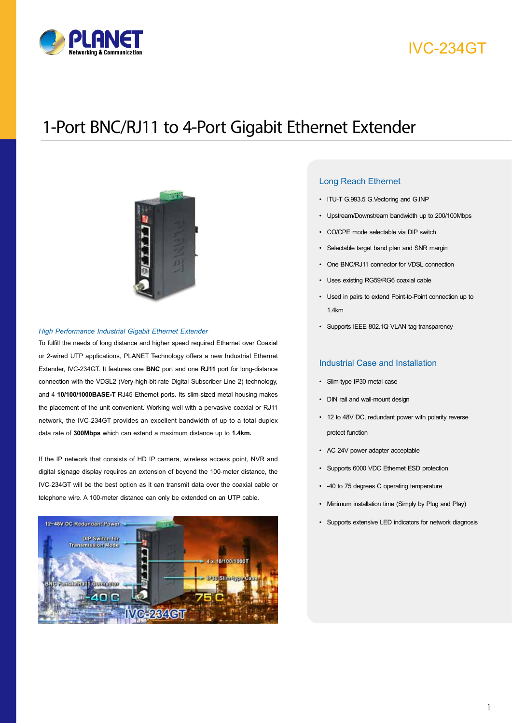

# IVC-234GT

# 1-Port BNC/RJ11 to 4-Port Gigabit Ethernet Extender



#### *High Performance Industrial Gigabit Ethernet Extender*

To fulfill the needs of long distance and higher speed required Ethernet over Coaxial or 2-wired UTP applications, PLANET Technology offers a new Industrial Ethernet Extender, IVC-234GT. It features one **BNC** port and one **RJ11** port for long-distance connection with the VDSL2 (Very-high-bit-rate Digital Subscriber Line 2) technology, and 4 **10/100/1000BASE-T** RJ45 Ethernet ports. Its slim-sized metal housing makes the placement of the unit convenient. Working well with a pervasive coaxial or RJ11 network, the IVC-234GT provides an excellent bandwidth of up to a total duplex data rate of **300Mbps** which can extend a maximum distance up to **1.4km.** 

If the IP network that consists of HD IP camera, wireless access point, NVR and digital signage display requires an extension of beyond the 100-meter distance, the IVC-234GT will be the best option as it can transmit data over the coaxial cable or telephone wire. A 100-meter distance can only be extended on an UTP cable.



#### Long Reach Ethernet

- ITU-T G.993.5 G.Vectoring and G.INP
- Upstream/Downstream bandwidth up to 200/100Mbps
- CO/CPE mode selectable via DIP switch
- Selectable target band plan and SNR margin
- One BNC/RJ11 connector for VDSL connection
- Uses existing RG59/RG6 coaxial cable
- Used in pairs to extend Point-to-Point connection up to 1.4km
- Supports IEEE 802.1Q VLAN tag transparency

#### Industrial Case and Installation

- Slim-type IP30 metal case
- DIN rail and wall-mount design
- 12 to 48V DC, redundant power with polarity reverse protect function
- AC 24V power adapter acceptable
- Supports 6000 VDC Ethernet ESD protection
- -40 to 75 degrees C operating temperature
- Minimum installation time (Simply by Plug and Play)
- Supports extensive LED indicators for network diagnosis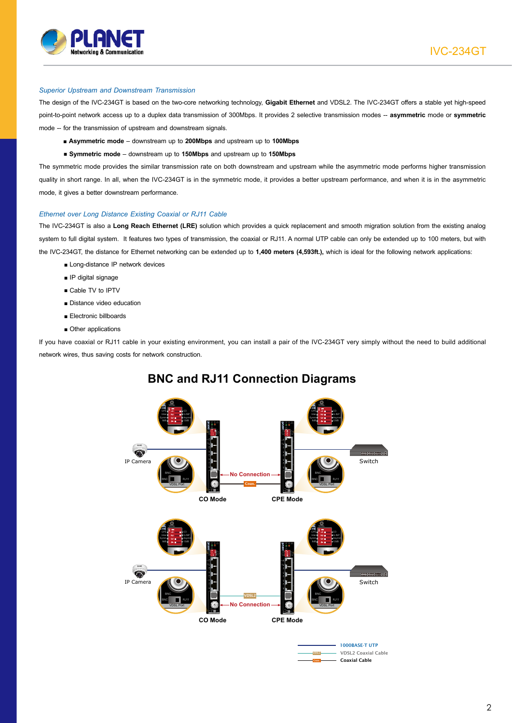

#### *Superior Upstream and Downstream Transmission*

The design of the IVC-234GT is based on the two-core networking technology, **Gigabit Ethernet** and VDSL2. The IVC-234GT offers a stable yet high-speed point-to-point network access up to a duplex data transmission of 300Mbps. It provides 2 selective transmission modes -- **asymmetric** mode or **symmetric**  mode -- for the transmission of upstream and downstream signals.

- **Asymmetric mode** downstream up to **200Mbps** and upstream up to **100Mbps**
- **Symmetric mode** downstream up to **150Mbps** and upstream up to **150Mbps**

The symmetric mode provides the similar transmission rate on both downstream and upstream while the asymmetric mode performs higher transmission quality in short range. In all, when the IVC-234GT is in the symmetric mode, it provides a better upstream performance, and when it is in the asymmetric mode, it gives a better downstream performance.

#### *Ethernet over Long Distance Existing Coaxial or RJ11 Cable*

The IVC-234GT is also a **Long Reach Ethernet (LRE)** solution which provides a quick replacement and smooth migration solution from the existing analog system to full digital system. It features two types of transmission, the coaxial or RJ11. A normal UTP cable can only be extended up to 100 meters, but with the IVC-234GT, the distance for Ethernet networking can be extended up to **1,400 meters (4,593ft.),** which is ideal for the following network applications:

- Long-distance IP network devices
- IP digital signage
- Cable TV to IPTV
- Distance video education
- Electronic billboards
- Other applications

If you have coaxial or RJ11 cable in your existing environment, you can install a pair of the IVC-234GT very simply without the need to build additional network wires, thus saving costs for network construction.



### 3 3 **BNC and RJ11 Connection Diagrams**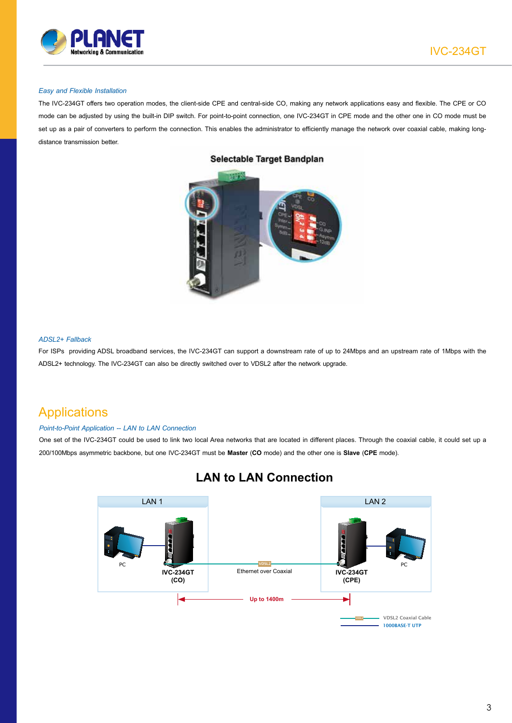

#### *Easy and Flexible Installation*

The IVC-234GT offers two operation modes, the client-side CPE and central-side CO, making any network applications easy and flexible. The CPE or CO mode can be adjusted by using the built-in DIP switch. For point-to-point connection, one IVC-234GT in CPE mode and the other one in CO mode must be set up as a pair of converters to perform the connection. This enables the administrator to efficiently manage the network over coaxial cable, making longdistance transmission better.



#### Selectable Target Bandplan

#### *ADSL2+ Fallback*

For ISPs providing ADSL broadband services, the IVC-234GT can support a downstream rate of up to 24Mbps and an upstream rate of 1Mbps with the ADSL2+ technology. The IVC-234GT can also be directly switched over to VDSL2 after the network upgrade.

### **Applications**

#### *Point-to-Point Application -- LAN to LAN Connection*

One set of the IVC-234GT could be used to link two local Area networks that are located in different places. Through the coaxial cable, it could set up a 200/100Mbps asymmetric backbone, but one IVC-234GT must be **Master** (**CO** mode) and the other one is **Slave** (**CPE** mode).



### **LAN to LAN Connection**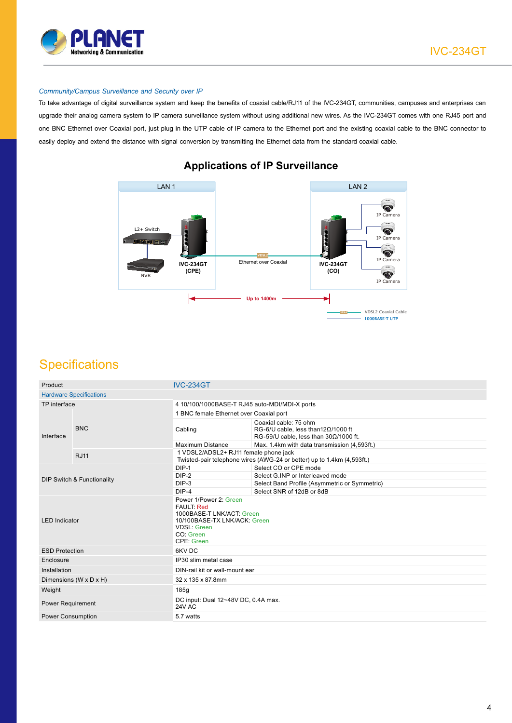

IVC-234GT

#### *Community/Campus Surveillance and Security over IP*

To take advantage of digital surveillance system and keep the benefits of coaxial cable/RJ11 of the IVC-234GT, communities, campuses and enterprises can upgrade their analog camera system to IP camera surveillance system without using additional new wires. As the IVC-234GT comes with one RJ45 port and one BNC Ethernet over Coaxial port, just plug in the UTP cable of IP camera to the Ethernet port and the existing coaxial cable to the BNC connector to easily deploy and extend the distance with signal conversion by transmitting the Ethernet data from the standard coaxial cable.



### **Applications of IP Surveillance**

## **Specifications**

| <b>Hardware Specifications</b><br>TP interface<br>4 10/100/1000BASE-T RJ45 auto-MDI/MDI-X ports<br>1 BNC female Ethernet over Coaxial port<br>Coaxial cable: 75 ohm<br><b>BNC</b><br>RG-6/U cable, less than $12\Omega/1000$ ft<br>Cabling<br>Interface<br>RG-59/U cable, less than $30\Omega/1000$ ft.<br>Maximum Distance<br>Max. 1.4km with data transmission (4,593ft.)<br>1 VDSL2/ADSL2+ RJ11 female phone jack<br><b>RJ11</b><br>Twisted-pair telephone wires (AWG-24 or better) up to 1.4km (4,593ft.)<br>$DIP-1$<br>Select CO or CPE mode<br>$DIP-2$<br>Select G.INP or Interleaved mode<br><b>DIP Switch &amp; Functionality</b><br>$DIP-3$<br>Select Band Profile (Asymmetric or Symmetric)<br>$DIP-4$<br>Select SNR of 12dB or 8dB<br>Power 1/Power 2: Green<br><b>FAULT: Red</b><br>1000BASE-T LNK/ACT: Green<br>10/100BASE-TX LNK/ACK: Green<br><b>LED</b> Indicator<br><b>VDSL: Green</b><br>CO: Green<br><b>CPE: Green</b><br>6KV DC<br><b>ESD Protection</b><br>IP30 slim metal case<br>Enclosure<br>Installation<br>DIN-rail kit or wall-mount ear<br>32 x 135 x 87.8mm<br>Dimensions ( $W \times D \times H$ )<br>Weight<br>185q<br>DC input: Dual 12~48V DC, 0.4A max.<br><b>Power Requirement</b><br>24V AC | Product                  |  | <b>IVC-234GT</b> |  |  |  |
|---------------------------------------------------------------------------------------------------------------------------------------------------------------------------------------------------------------------------------------------------------------------------------------------------------------------------------------------------------------------------------------------------------------------------------------------------------------------------------------------------------------------------------------------------------------------------------------------------------------------------------------------------------------------------------------------------------------------------------------------------------------------------------------------------------------------------------------------------------------------------------------------------------------------------------------------------------------------------------------------------------------------------------------------------------------------------------------------------------------------------------------------------------------------------------------------------------------------------------|--------------------------|--|------------------|--|--|--|
|                                                                                                                                                                                                                                                                                                                                                                                                                                                                                                                                                                                                                                                                                                                                                                                                                                                                                                                                                                                                                                                                                                                                                                                                                                 |                          |  |                  |  |  |  |
|                                                                                                                                                                                                                                                                                                                                                                                                                                                                                                                                                                                                                                                                                                                                                                                                                                                                                                                                                                                                                                                                                                                                                                                                                                 |                          |  |                  |  |  |  |
|                                                                                                                                                                                                                                                                                                                                                                                                                                                                                                                                                                                                                                                                                                                                                                                                                                                                                                                                                                                                                                                                                                                                                                                                                                 |                          |  |                  |  |  |  |
|                                                                                                                                                                                                                                                                                                                                                                                                                                                                                                                                                                                                                                                                                                                                                                                                                                                                                                                                                                                                                                                                                                                                                                                                                                 |                          |  |                  |  |  |  |
|                                                                                                                                                                                                                                                                                                                                                                                                                                                                                                                                                                                                                                                                                                                                                                                                                                                                                                                                                                                                                                                                                                                                                                                                                                 |                          |  |                  |  |  |  |
|                                                                                                                                                                                                                                                                                                                                                                                                                                                                                                                                                                                                                                                                                                                                                                                                                                                                                                                                                                                                                                                                                                                                                                                                                                 |                          |  |                  |  |  |  |
|                                                                                                                                                                                                                                                                                                                                                                                                                                                                                                                                                                                                                                                                                                                                                                                                                                                                                                                                                                                                                                                                                                                                                                                                                                 |                          |  |                  |  |  |  |
|                                                                                                                                                                                                                                                                                                                                                                                                                                                                                                                                                                                                                                                                                                                                                                                                                                                                                                                                                                                                                                                                                                                                                                                                                                 |                          |  |                  |  |  |  |
|                                                                                                                                                                                                                                                                                                                                                                                                                                                                                                                                                                                                                                                                                                                                                                                                                                                                                                                                                                                                                                                                                                                                                                                                                                 |                          |  |                  |  |  |  |
|                                                                                                                                                                                                                                                                                                                                                                                                                                                                                                                                                                                                                                                                                                                                                                                                                                                                                                                                                                                                                                                                                                                                                                                                                                 |                          |  |                  |  |  |  |
|                                                                                                                                                                                                                                                                                                                                                                                                                                                                                                                                                                                                                                                                                                                                                                                                                                                                                                                                                                                                                                                                                                                                                                                                                                 |                          |  |                  |  |  |  |
|                                                                                                                                                                                                                                                                                                                                                                                                                                                                                                                                                                                                                                                                                                                                                                                                                                                                                                                                                                                                                                                                                                                                                                                                                                 |                          |  |                  |  |  |  |
|                                                                                                                                                                                                                                                                                                                                                                                                                                                                                                                                                                                                                                                                                                                                                                                                                                                                                                                                                                                                                                                                                                                                                                                                                                 |                          |  |                  |  |  |  |
|                                                                                                                                                                                                                                                                                                                                                                                                                                                                                                                                                                                                                                                                                                                                                                                                                                                                                                                                                                                                                                                                                                                                                                                                                                 |                          |  |                  |  |  |  |
|                                                                                                                                                                                                                                                                                                                                                                                                                                                                                                                                                                                                                                                                                                                                                                                                                                                                                                                                                                                                                                                                                                                                                                                                                                 |                          |  |                  |  |  |  |
|                                                                                                                                                                                                                                                                                                                                                                                                                                                                                                                                                                                                                                                                                                                                                                                                                                                                                                                                                                                                                                                                                                                                                                                                                                 |                          |  |                  |  |  |  |
|                                                                                                                                                                                                                                                                                                                                                                                                                                                                                                                                                                                                                                                                                                                                                                                                                                                                                                                                                                                                                                                                                                                                                                                                                                 |                          |  |                  |  |  |  |
|                                                                                                                                                                                                                                                                                                                                                                                                                                                                                                                                                                                                                                                                                                                                                                                                                                                                                                                                                                                                                                                                                                                                                                                                                                 | <b>Power Consumption</b> |  | 5.7 watts        |  |  |  |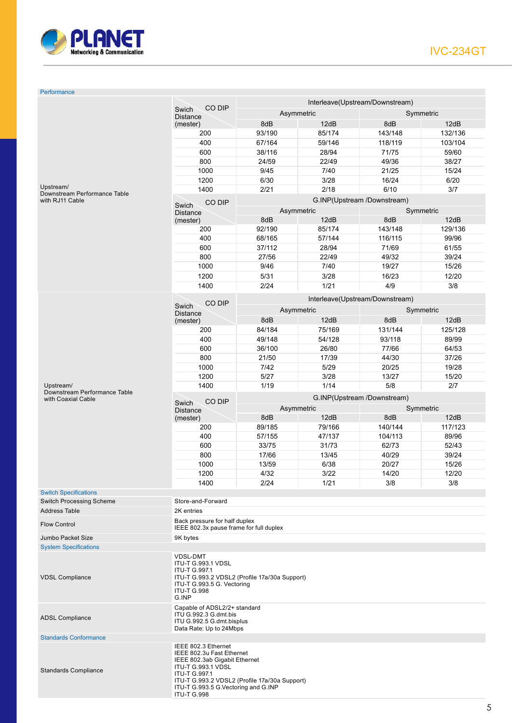

#### Performance

|                                                                                                                                                                                                                                                                              | CO DIP<br>Swich<br><b>Distance</b><br>(mester)                                                                                                                                     | Interleave(Upstream/Downstream)                        |                                 |                |                |  |
|------------------------------------------------------------------------------------------------------------------------------------------------------------------------------------------------------------------------------------------------------------------------------|------------------------------------------------------------------------------------------------------------------------------------------------------------------------------------|--------------------------------------------------------|---------------------------------|----------------|----------------|--|
|                                                                                                                                                                                                                                                                              |                                                                                                                                                                                    | Asymmetric<br>Symmetric                                |                                 |                |                |  |
|                                                                                                                                                                                                                                                                              |                                                                                                                                                                                    | 8dB                                                    | 12dB                            | 8dB            | 12dB           |  |
|                                                                                                                                                                                                                                                                              | 200                                                                                                                                                                                | 93/190                                                 | 85/174                          | 143/148        | 132/136        |  |
|                                                                                                                                                                                                                                                                              | 400                                                                                                                                                                                | 67/164                                                 | 59/146                          | 118/119        | 103/104        |  |
|                                                                                                                                                                                                                                                                              | 600                                                                                                                                                                                | 38/116                                                 | 28/94                           | 71/75          | 59/60          |  |
|                                                                                                                                                                                                                                                                              | 800                                                                                                                                                                                | 24/59                                                  | 22/49                           | 49/36          | 38/27          |  |
|                                                                                                                                                                                                                                                                              | 1000                                                                                                                                                                               | 9/45                                                   | 7/40                            | 21/25          | 15/24          |  |
|                                                                                                                                                                                                                                                                              | 1200                                                                                                                                                                               | 6/30                                                   | 3/28                            | 16/24          | 6/20           |  |
| Upstream/                                                                                                                                                                                                                                                                    | 1400                                                                                                                                                                               | 2/21                                                   | 2/18                            | 6/10           | 3/7            |  |
| Downstream Performance Table<br>with RJ11 Cable                                                                                                                                                                                                                              |                                                                                                                                                                                    |                                                        |                                 |                |                |  |
|                                                                                                                                                                                                                                                                              | CO DIP<br>Swich                                                                                                                                                                    | G.INP(Upstream /Downstream)<br>Asymmetric<br>Symmetric |                                 |                |                |  |
|                                                                                                                                                                                                                                                                              | <b>Distance</b><br>(mester)                                                                                                                                                        | 8dB                                                    | 12dB                            |                | 8dB<br>12dB    |  |
|                                                                                                                                                                                                                                                                              | 200                                                                                                                                                                                | 92/190                                                 | 85/174                          | 143/148        | 129/136        |  |
|                                                                                                                                                                                                                                                                              | 400                                                                                                                                                                                | 68/165                                                 | 57/144                          | 116/115        | 99/96          |  |
|                                                                                                                                                                                                                                                                              | 600                                                                                                                                                                                | 37/112                                                 | 28/94                           | 71/69          | 61/55          |  |
|                                                                                                                                                                                                                                                                              | 800                                                                                                                                                                                | 27/56                                                  | 22/49                           | 49/32          | 39/24          |  |
|                                                                                                                                                                                                                                                                              | 1000                                                                                                                                                                               | 9/46                                                   | 7/40                            | 19/27          | 15/26          |  |
|                                                                                                                                                                                                                                                                              | 1200                                                                                                                                                                               | 5/31                                                   | 3/28                            |                | 12/20          |  |
|                                                                                                                                                                                                                                                                              |                                                                                                                                                                                    |                                                        |                                 | 16/23          |                |  |
|                                                                                                                                                                                                                                                                              | 1400                                                                                                                                                                               | 2/24                                                   | 1/21                            | 4/9            | 3/8            |  |
|                                                                                                                                                                                                                                                                              | CO DIP                                                                                                                                                                             |                                                        | Interleave(Upstream/Downstream) |                |                |  |
|                                                                                                                                                                                                                                                                              | Swich<br><b>Distance</b>                                                                                                                                                           | Asymmetric<br>Symmetric                                |                                 |                |                |  |
|                                                                                                                                                                                                                                                                              | (mester)                                                                                                                                                                           | 8dB                                                    | 12dB                            | 8dB            | 12dB           |  |
|                                                                                                                                                                                                                                                                              | 200                                                                                                                                                                                | 84/184                                                 | 75/169                          | 131/144        | 125/128        |  |
|                                                                                                                                                                                                                                                                              | 400                                                                                                                                                                                | 49/148                                                 | 54/128                          | 93/118         | 89/99          |  |
|                                                                                                                                                                                                                                                                              | 600                                                                                                                                                                                | 36/100                                                 | 26/80                           | 77/66          | 64/53          |  |
|                                                                                                                                                                                                                                                                              | 800                                                                                                                                                                                | 21/50                                                  | 17/39                           | 44/30          | 37/26          |  |
|                                                                                                                                                                                                                                                                              | 1000                                                                                                                                                                               | 7/42                                                   | 5/29                            | 20/25          | 19/28          |  |
|                                                                                                                                                                                                                                                                              | 1200                                                                                                                                                                               | 5/27                                                   | 3/28                            | 13/27          | 15/20          |  |
| Upstream/                                                                                                                                                                                                                                                                    | 1400                                                                                                                                                                               | 1/19                                                   | 1/14                            | 5/8            | 2/7            |  |
| Downstream Performance Table                                                                                                                                                                                                                                                 |                                                                                                                                                                                    |                                                        |                                 |                |                |  |
| with Coaxial Cable                                                                                                                                                                                                                                                           | CO DIP<br>Swich                                                                                                                                                                    |                                                        | G.INP(Upstream /Downstream)     |                |                |  |
|                                                                                                                                                                                                                                                                              | <b>Distance</b>                                                                                                                                                                    |                                                        | Asymmetric                      | Symmetric      |                |  |
|                                                                                                                                                                                                                                                                              | (mester)                                                                                                                                                                           | 8dB                                                    | 12dB                            | 8dB            | 12dB           |  |
|                                                                                                                                                                                                                                                                              | 200                                                                                                                                                                                | 89/185                                                 | 79/166                          | 140/144        | 117/123        |  |
|                                                                                                                                                                                                                                                                              | 400                                                                                                                                                                                | 57/155                                                 | 47/137                          | 104/113        | 89/96          |  |
|                                                                                                                                                                                                                                                                              | 600                                                                                                                                                                                | 33/75                                                  | 31/73                           | 62/73          | 52/43          |  |
|                                                                                                                                                                                                                                                                              | 800<br>1000                                                                                                                                                                        | 17/66<br>13/59                                         | 13/45<br>6/38                   | 40/29          | 39/24<br>15/26 |  |
|                                                                                                                                                                                                                                                                              |                                                                                                                                                                                    | 4/32                                                   | 3/22                            | 20/27<br>14/20 |                |  |
|                                                                                                                                                                                                                                                                              | 1200                                                                                                                                                                               | 2/24                                                   |                                 |                | 12/20          |  |
| <b>Switch Specifications</b>                                                                                                                                                                                                                                                 | 1400                                                                                                                                                                               |                                                        | 1/21                            | 3/8            | 3/8            |  |
| <b>Switch Processing Scheme</b>                                                                                                                                                                                                                                              | Store-and-Forward                                                                                                                                                                  |                                                        |                                 |                |                |  |
| <b>Address Table</b>                                                                                                                                                                                                                                                         | 2K entries                                                                                                                                                                         |                                                        |                                 |                |                |  |
|                                                                                                                                                                                                                                                                              | Back pressure for half duplex                                                                                                                                                      |                                                        |                                 |                |                |  |
| <b>Flow Control</b>                                                                                                                                                                                                                                                          | IEEE 802.3x pause frame for full duplex                                                                                                                                            |                                                        |                                 |                |                |  |
| Jumbo Packet Size                                                                                                                                                                                                                                                            | 9K bytes                                                                                                                                                                           |                                                        |                                 |                |                |  |
| <b>System Specifications</b>                                                                                                                                                                                                                                                 |                                                                                                                                                                                    |                                                        |                                 |                |                |  |
| <b>VDSL Compliance</b>                                                                                                                                                                                                                                                       | <b>VDSL-DMT</b><br><b>ITU-T G.993.1 VDSL</b><br><b>ITU-T G.997.1</b><br>ITU-T G.993.2 VDSL2 (Profile 17a/30a Support)<br>ITU-T G.993.5 G. Vectoring<br><b>ITU-T G.998</b><br>G.INP |                                                        |                                 |                |                |  |
| <b>ADSL Compliance</b>                                                                                                                                                                                                                                                       | Capable of ADSL2/2+ standard<br>ITU G.992.3 G.dmt.bis<br>ITU G.992.5 G.dmt.bisplus<br>Data Rate: Up to 24Mbps                                                                      |                                                        |                                 |                |                |  |
| <b>Standards Conformance</b>                                                                                                                                                                                                                                                 |                                                                                                                                                                                    |                                                        |                                 |                |                |  |
| IEEE 802.3 Ethernet<br>IEEE 802.3u Fast Ethernet<br>IEEE 802.3ab Gigabit Ethernet<br><b>ITU-T G.993.1 VDSL</b><br><b>Standards Compliance</b><br>ITU-T G.997.1<br>ITU-T G.993.2 VDSL2 (Profile 17a/30a Support)<br>ITU-T G.993.5 G.Vectoring and G.INP<br><b>ITU-T G.998</b> |                                                                                                                                                                                    |                                                        |                                 |                |                |  |